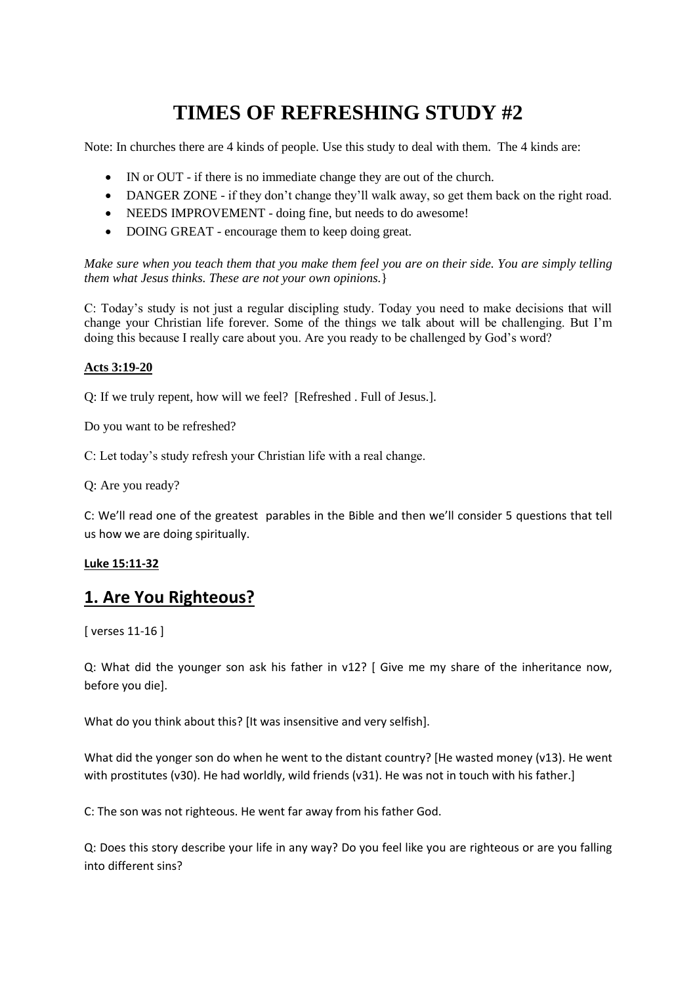# **TIMES OF REFRESHING STUDY #2**

Note: In churches there are 4 kinds of people. Use this study to deal with them. The 4 kinds are:

- IN or OUT if there is no immediate change they are out of the church.
- DANGER ZONE if they don't change they'll walk away, so get them back on the right road.
- NEEDS IMPROVEMENT doing fine, but needs to do awesome!
- DOING GREAT encourage them to keep doing great.

*Make sure when you teach them that you make them feel you are on their side. You are simply telling them what Jesus thinks. These are not your own opinions.*}

C: Today's study is not just a regular discipling study. Today you need to make decisions that will change your Christian life forever. Some of the things we talk about will be challenging. But I'm doing this because I really care about you. Are you ready to be challenged by God's word?

### **Acts 3:19-20**

Q: If we truly repent, how will we feel? [Refreshed . Full of Jesus.].

Do you want to be refreshed?

C: Let today's study refresh your Christian life with a real change.

Q: Are you ready?

C: We'll read one of the greatest parables in the Bible and then we'll consider 5 questions that tell us how we are doing spiritually.

### **Luke 15:11-32**

# **1. Are You Righteous?**

[ verses 11-16 ]

Q: What did the younger son ask his father in v12? [ Give me my share of the inheritance now, before you die].

What do you think about this? [It was insensitive and very selfish].

What did the yonger son do when he went to the distant country? [He wasted money (v13). He went with prostitutes (v30). He had worldly, wild friends (v31). He was not in touch with his father.]

C: The son was not righteous. He went far away from his father God.

Q: Does this story describe your life in any way? Do you feel like you are righteous or are you falling into different sins?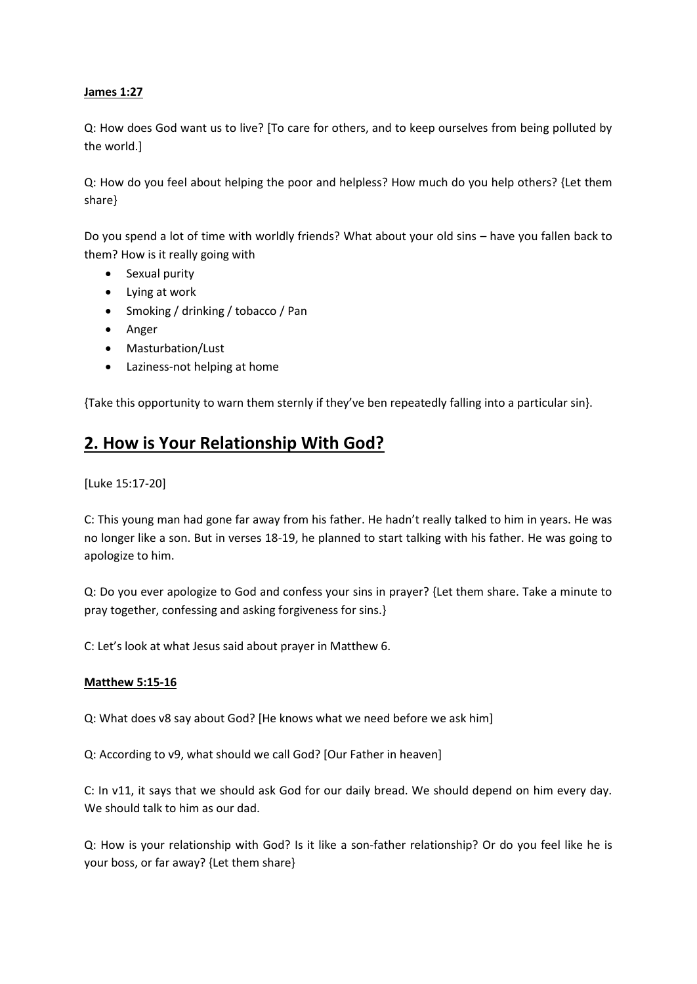### **James 1:27**

Q: How does God want us to live? [To care for others, and to keep ourselves from being polluted by the world.]

Q: How do you feel about helping the poor and helpless? How much do you help others? {Let them share}

Do you spend a lot of time with worldly friends? What about your old sins – have you fallen back to them? How is it really going with

- Sexual purity
- Lying at work
- Smoking / drinking / tobacco / Pan
- Anger
- Masturbation/Lust
- Laziness-not helping at home

{Take this opportunity to warn them sternly if they've ben repeatedly falling into a particular sin}.

# **2. How is Your Relationship With God?**

[Luke 15:17-20]

C: This young man had gone far away from his father. He hadn't really talked to him in years. He was no longer like a son. But in verses 18-19, he planned to start talking with his father. He was going to apologize to him.

Q: Do you ever apologize to God and confess your sins in prayer? {Let them share. Take a minute to pray together, confessing and asking forgiveness for sins.}

C: Let's look at what Jesus said about prayer in Matthew 6.

#### **Matthew 5:15-16**

Q: What does v8 say about God? [He knows what we need before we ask him]

Q: According to v9, what should we call God? [Our Father in heaven]

C: In v11, it says that we should ask God for our daily bread. We should depend on him every day. We should talk to him as our dad.

Q: How is your relationship with God? Is it like a son-father relationship? Or do you feel like he is your boss, or far away? {Let them share}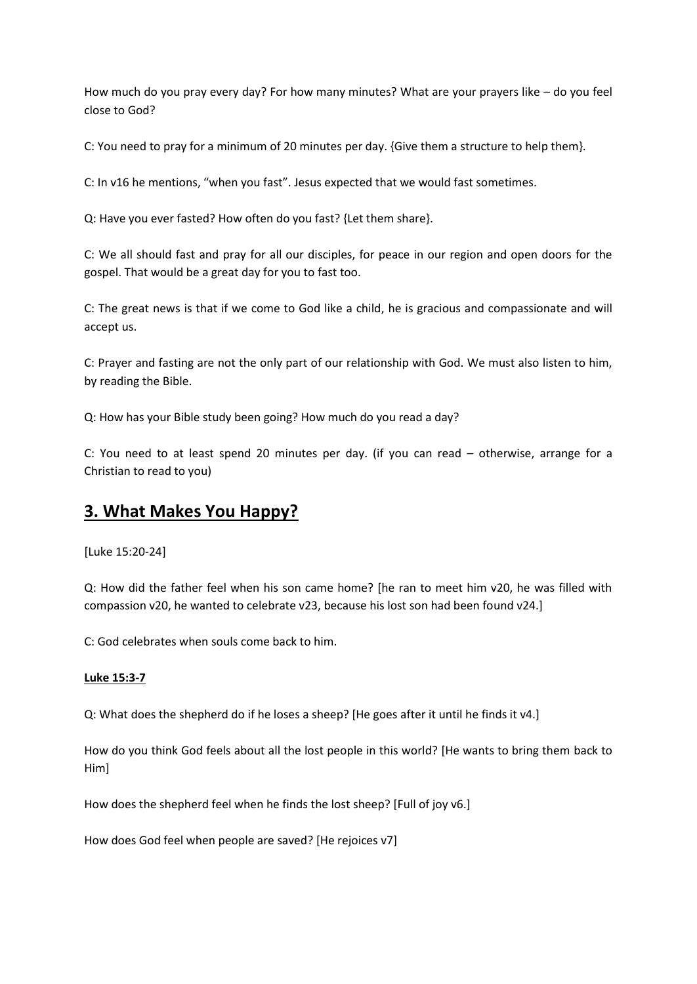How much do you pray every day? For how many minutes? What are your prayers like – do you feel close to God?

C: You need to pray for a minimum of 20 minutes per day. {Give them a structure to help them}.

C: In v16 he mentions, "when you fast". Jesus expected that we would fast sometimes.

Q: Have you ever fasted? How often do you fast? {Let them share}.

C: We all should fast and pray for all our disciples, for peace in our region and open doors for the gospel. That would be a great day for you to fast too.

C: The great news is that if we come to God like a child, he is gracious and compassionate and will accept us.

C: Prayer and fasting are not the only part of our relationship with God. We must also listen to him, by reading the Bible.

Q: How has your Bible study been going? How much do you read a day?

C: You need to at least spend 20 minutes per day. (if you can read – otherwise, arrange for a Christian to read to you)

# **3. What Makes You Happy?**

[Luke 15:20-24]

Q: How did the father feel when his son came home? [he ran to meet him v20, he was filled with compassion v20, he wanted to celebrate v23, because his lost son had been found v24.]

C: God celebrates when souls come back to him.

### **Luke 15:3-7**

Q: What does the shepherd do if he loses a sheep? [He goes after it until he finds it v4.]

How do you think God feels about all the lost people in this world? [He wants to bring them back to Him]

How does the shepherd feel when he finds the lost sheep? [Full of joy v6.]

How does God feel when people are saved? [He rejoices v7]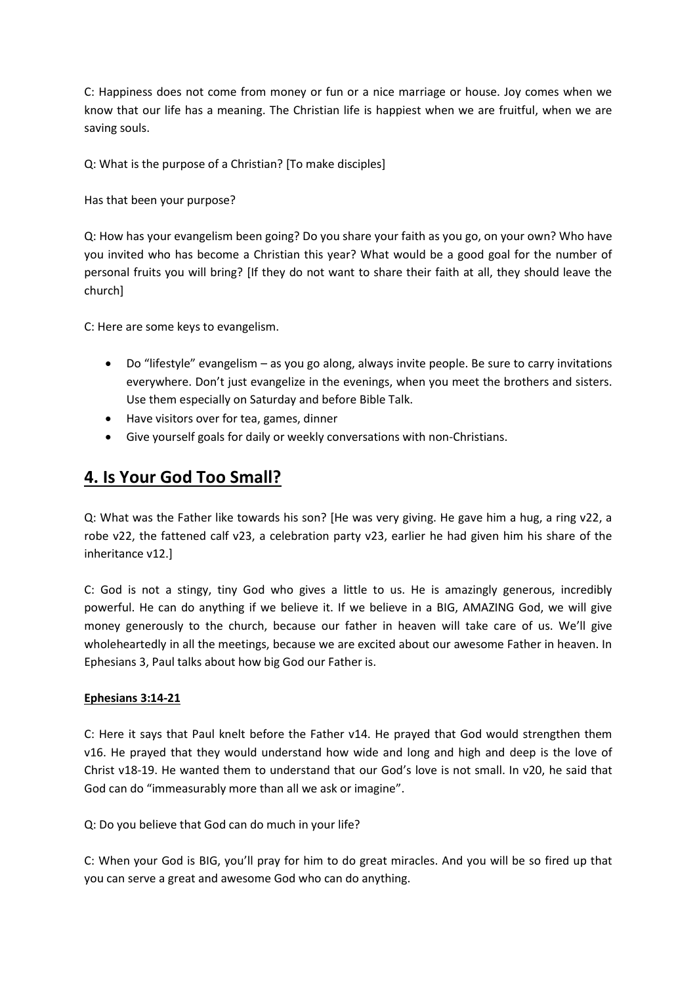C: Happiness does not come from money or fun or a nice marriage or house. Joy comes when we know that our life has a meaning. The Christian life is happiest when we are fruitful, when we are saving souls.

Q: What is the purpose of a Christian? [To make disciples]

Has that been your purpose?

Q: How has your evangelism been going? Do you share your faith as you go, on your own? Who have you invited who has become a Christian this year? What would be a good goal for the number of personal fruits you will bring? [If they do not want to share their faith at all, they should leave the church]

C: Here are some keys to evangelism.

- Do "lifestyle" evangelism as you go along, always invite people. Be sure to carry invitations everywhere. Don't just evangelize in the evenings, when you meet the brothers and sisters. Use them especially on Saturday and before Bible Talk.
- Have visitors over for tea, games, dinner
- Give yourself goals for daily or weekly conversations with non-Christians.

# **4. Is Your God Too Small?**

Q: What was the Father like towards his son? [He was very giving. He gave him a hug, a ring v22, a robe v22, the fattened calf v23, a celebration party v23, earlier he had given him his share of the inheritance v12.]

C: God is not a stingy, tiny God who gives a little to us. He is amazingly generous, incredibly powerful. He can do anything if we believe it. If we believe in a BIG, AMAZING God, we will give money generously to the church, because our father in heaven will take care of us. We'll give wholeheartedly in all the meetings, because we are excited about our awesome Father in heaven. In Ephesians 3, Paul talks about how big God our Father is.

#### **Ephesians 3:14-21**

C: Here it says that Paul knelt before the Father v14. He prayed that God would strengthen them v16. He prayed that they would understand how wide and long and high and deep is the love of Christ v18-19. He wanted them to understand that our God's love is not small. In v20, he said that God can do "immeasurably more than all we ask or imagine".

Q: Do you believe that God can do much in your life?

C: When your God is BIG, you'll pray for him to do great miracles. And you will be so fired up that you can serve a great and awesome God who can do anything.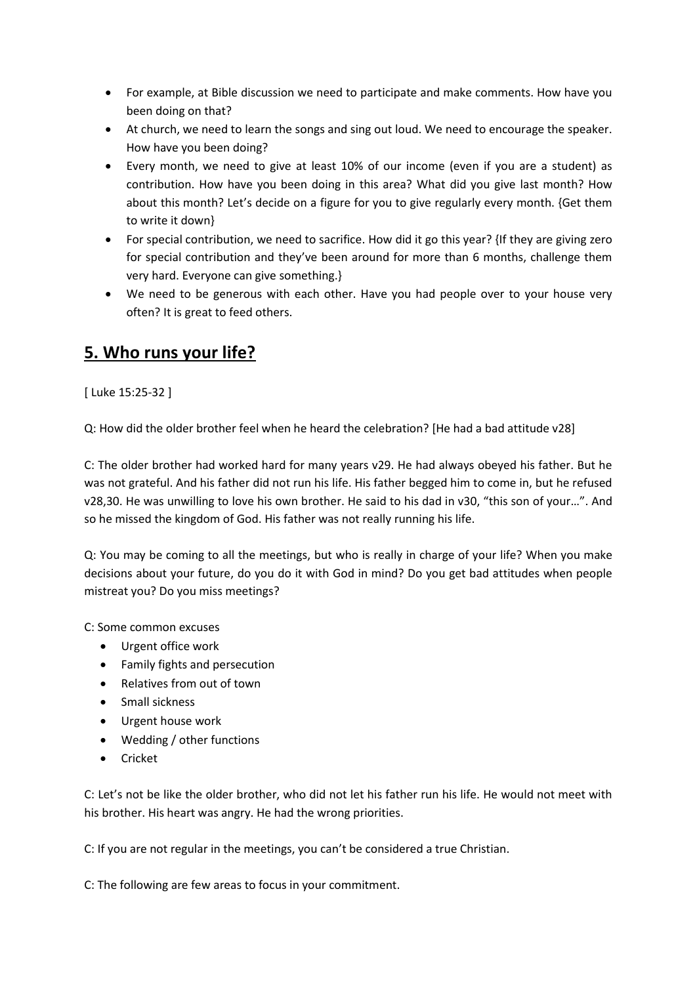- For example, at Bible discussion we need to participate and make comments. How have you been doing on that?
- At church, we need to learn the songs and sing out loud. We need to encourage the speaker. How have you been doing?
- Every month, we need to give at least 10% of our income (even if you are a student) as contribution. How have you been doing in this area? What did you give last month? How about this month? Let's decide on a figure for you to give regularly every month. {Get them to write it down}
- For special contribution, we need to sacrifice. How did it go this year? {If they are giving zero for special contribution and they've been around for more than 6 months, challenge them very hard. Everyone can give something.}
- We need to be generous with each other. Have you had people over to your house very often? It is great to feed others.

# **5. Who runs your life?**

[ Luke 15:25-32 ]

Q: How did the older brother feel when he heard the celebration? [He had a bad attitude v28]

C: The older brother had worked hard for many years v29. He had always obeyed his father. But he was not grateful. And his father did not run his life. His father begged him to come in, but he refused v28,30. He was unwilling to love his own brother. He said to his dad in v30, "this son of your…". And so he missed the kingdom of God. His father was not really running his life.

Q: You may be coming to all the meetings, but who is really in charge of your life? When you make decisions about your future, do you do it with God in mind? Do you get bad attitudes when people mistreat you? Do you miss meetings?

C: Some common excuses

- Urgent office work
- Family fights and persecution
- Relatives from out of town
- Small sickness
- Urgent house work
- Wedding / other functions
- Cricket

C: Let's not be like the older brother, who did not let his father run his life. He would not meet with his brother. His heart was angry. He had the wrong priorities.

C: If you are not regular in the meetings, you can't be considered a true Christian.

C: The following are few areas to focus in your commitment.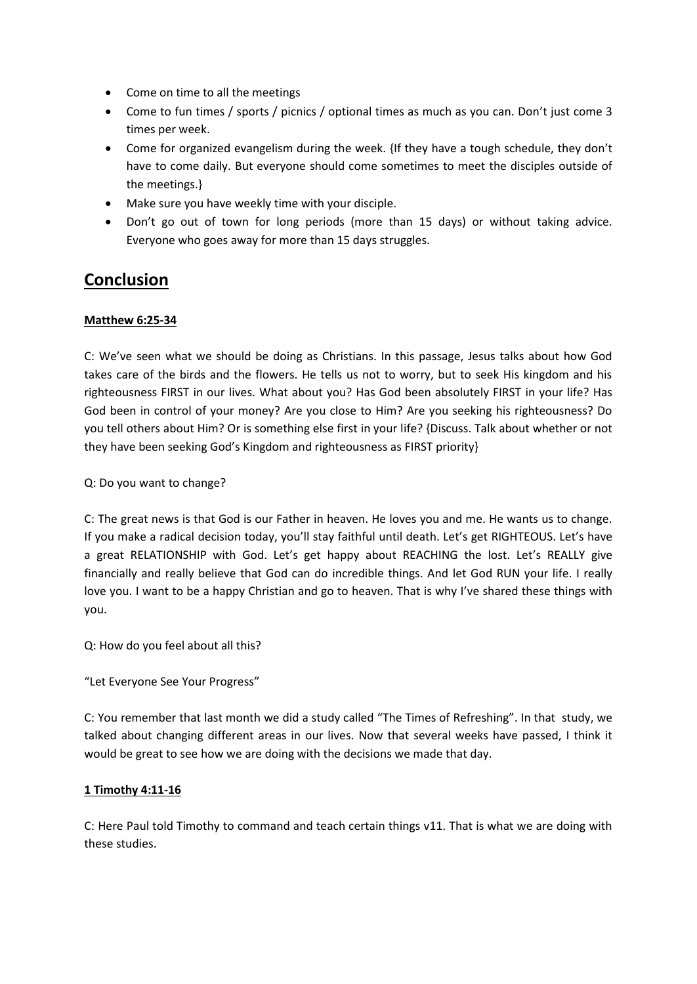- Come on time to all the meetings
- Come to fun times / sports / picnics / optional times as much as you can. Don't just come 3 times per week.
- Come for organized evangelism during the week. {If they have a tough schedule, they don't have to come daily. But everyone should come sometimes to meet the disciples outside of the meetings.}
- Make sure you have weekly time with your disciple.
- Don't go out of town for long periods (more than 15 days) or without taking advice. Everyone who goes away for more than 15 days struggles.

# **Conclusion**

## **Matthew 6:25-34**

C: We've seen what we should be doing as Christians. In this passage, Jesus talks about how God takes care of the birds and the flowers. He tells us not to worry, but to seek His kingdom and his righteousness FIRST in our lives. What about you? Has God been absolutely FIRST in your life? Has God been in control of your money? Are you close to Him? Are you seeking his righteousness? Do you tell others about Him? Or is something else first in your life? {Discuss. Talk about whether or not they have been seeking God's Kingdom and righteousness as FIRST priority}

Q: Do you want to change?

C: The great news is that God is our Father in heaven. He loves you and me. He wants us to change. If you make a radical decision today, you'll stay faithful until death. Let's get RIGHTEOUS. Let's have a great RELATIONSHIP with God. Let's get happy about REACHING the lost. Let's REALLY give financially and really believe that God can do incredible things. And let God RUN your life. I really love you. I want to be a happy Christian and go to heaven. That is why I've shared these things with you.

Q: How do you feel about all this?

"Let Everyone See Your Progress"

C: You remember that last month we did a study called "The Times of Refreshing". In that study, we talked about changing different areas in our lives. Now that several weeks have passed, I think it would be great to see how we are doing with the decisions we made that day.

# **1 Timothy 4:11-16**

C: Here Paul told Timothy to command and teach certain things v11. That is what we are doing with these studies.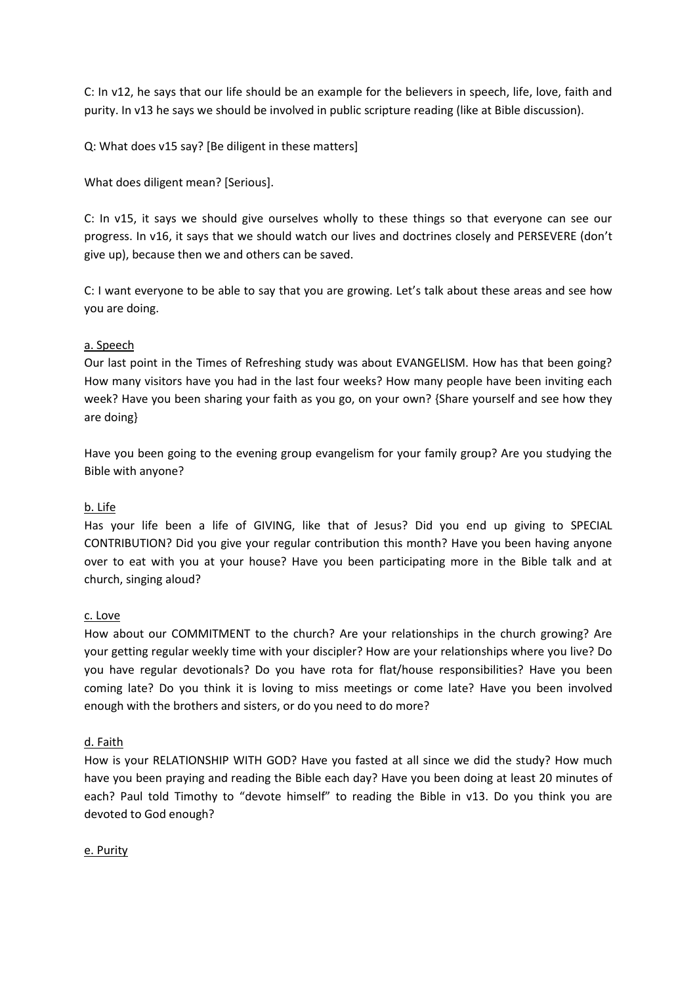C: In v12, he says that our life should be an example for the believers in speech, life, love, faith and purity. In v13 he says we should be involved in public scripture reading (like at Bible discussion).

Q: What does v15 say? [Be diligent in these matters]

What does diligent mean? [Serious].

C: In v15, it says we should give ourselves wholly to these things so that everyone can see our progress. In v16, it says that we should watch our lives and doctrines closely and PERSEVERE (don't give up), because then we and others can be saved.

C: I want everyone to be able to say that you are growing. Let's talk about these areas and see how you are doing.

### a. Speech

Our last point in the Times of Refreshing study was about EVANGELISM. How has that been going? How many visitors have you had in the last four weeks? How many people have been inviting each week? Have you been sharing your faith as you go, on your own? {Share yourself and see how they are doing}

Have you been going to the evening group evangelism for your family group? Are you studying the Bible with anyone?

### b. Life

Has your life been a life of GIVING, like that of Jesus? Did you end up giving to SPECIAL CONTRIBUTION? Did you give your regular contribution this month? Have you been having anyone over to eat with you at your house? Have you been participating more in the Bible talk and at church, singing aloud?

### c. Love

How about our COMMITMENT to the church? Are your relationships in the church growing? Are your getting regular weekly time with your discipler? How are your relationships where you live? Do you have regular devotionals? Do you have rota for flat/house responsibilities? Have you been coming late? Do you think it is loving to miss meetings or come late? Have you been involved enough with the brothers and sisters, or do you need to do more?

#### d. Faith

How is your RELATIONSHIP WITH GOD? Have you fasted at all since we did the study? How much have you been praying and reading the Bible each day? Have you been doing at least 20 minutes of each? Paul told Timothy to "devote himself" to reading the Bible in v13. Do you think you are devoted to God enough?

#### e. Purity